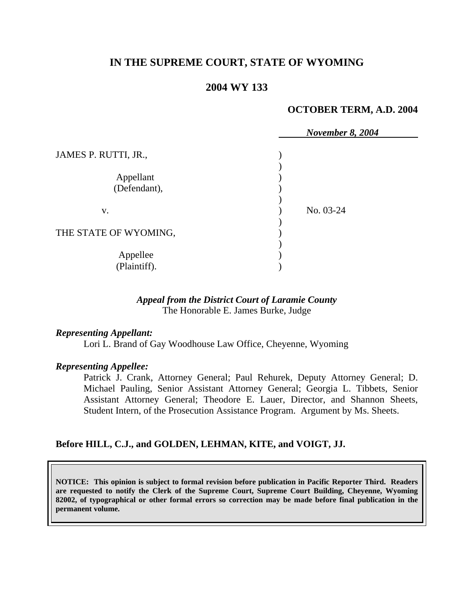# **IN THE SUPREME COURT, STATE OF WYOMING**

## **2004 WY 133**

#### **OCTOBER TERM, A.D. 2004**

|                       | <b>November 8, 2004</b> |
|-----------------------|-------------------------|
| JAMES P. RUTTI, JR.,  |                         |
|                       |                         |
| Appellant             |                         |
| (Defendant),          |                         |
|                       |                         |
| V.                    | No. 03-24               |
|                       |                         |
| THE STATE OF WYOMING, |                         |
|                       |                         |
| Appellee              |                         |
| (Plaintiff).          |                         |

### *Appeal from the District Court of Laramie County* The Honorable E. James Burke, Judge

### *Representing Appellant:*

Lori L. Brand of Gay Woodhouse Law Office, Cheyenne, Wyoming

### *Representing Appellee:*

 Patrick J. Crank, Attorney General; Paul Rehurek, Deputy Attorney General; D. Michael Pauling, Senior Assistant Attorney General; Georgia L. Tibbets, Senior Assistant Attorney General; Theodore E. Lauer, Director, and Shannon Sheets, Student Intern, of the Prosecution Assistance Program. Argument by Ms. Sheets.

### **Before HILL, C.J., and GOLDEN, LEHMAN, KITE, and VOIGT, JJ.**

**NOTICE: This opinion is subject to formal revision before publication in Pacific Reporter Third. Readers are requested to notify the Clerk of the Supreme Court, Supreme Court Building, Cheyenne, Wyoming 82002, of typographical or other formal errors so correction may be made before final publication in the permanent volume.**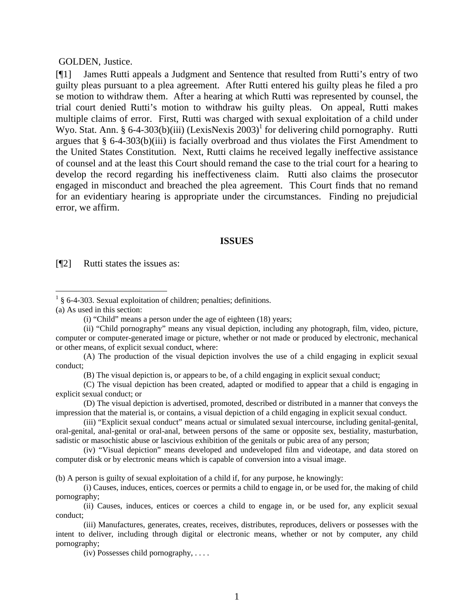#### GOLDEN, Justice.

[¶1] James Rutti appeals a Judgment and Sentence that resulted from Rutti's entry of two guilty pleas pursuant to a plea agreement. After Rutti entered his guilty pleas he filed a pro se motion to withdraw them. After a hearing at which Rutti was represented by counsel, the trial court denied Rutti's motion to withdraw his guilty pleas. On appeal, Rutti makes multiple claims of error. First, Rutti was charged with sexual exploitation of a child under Wyo. Stat. Ann. § 6-4-303(b)(iii) (LexisNexis  $2003$ )<sup>1</sup> for delivering child pornography. Rutti argues that § 6-4-303(b)(iii) is facially overbroad and thus violates the First Amendment to the United States Constitution. Next, Rutti claims he received legally ineffective assistance of counsel and at the least this Court should remand the case to the trial court for a hearing to develop the record regarding his ineffectiveness claim. Rutti also claims the prosecutor engaged in misconduct and breached the plea agreement. This Court finds that no remand for an evidentiary hearing is appropriate under the circumstances. Finding no prejudicial error, we affirm.

#### **ISSUES**

[¶2] Rutti states the issues as:

(a) As used in this section:

(A) The production of the visual depiction involves the use of a child engaging in explicit sexual conduct;

(B) The visual depiction is, or appears to be, of a child engaging in explicit sexual conduct;

(C) The visual depiction has been created, adapted or modified to appear that a child is engaging in explicit sexual conduct; or

(D) The visual depiction is advertised, promoted, described or distributed in a manner that conveys the impression that the material is, or contains, a visual depiction of a child engaging in explicit sexual conduct.

(iii) "Explicit sexual conduct" means actual or simulated sexual intercourse, including genital-genital, oral-genital, anal-genital or oral-anal, between persons of the same or opposite sex, bestiality, masturbation, sadistic or masochistic abuse or lascivious exhibition of the genitals or pubic area of any person;

(iv) "Visual depiction" means developed and undeveloped film and videotape, and data stored on computer disk or by electronic means which is capable of conversion into a visual image.

(b) A person is guilty of sexual exploitation of a child if, for any purpose, he knowingly:

(i) Causes, induces, entices, coerces or permits a child to engage in, or be used for, the making of child pornography;

(ii) Causes, induces, entices or coerces a child to engage in, or be used for, any explicit sexual conduct;

(iii) Manufactures, generates, creates, receives, distributes, reproduces, delivers or possesses with the intent to deliver, including through digital or electronic means, whether or not by computer, any child pornography;

(iv) Possesses child pornography, . . . .

 $1 \text{ }$  § 6-4-303. Sexual exploitation of children; penalties; definitions.

<sup>(</sup>i) "Child" means a person under the age of eighteen (18) years;

<sup>(</sup>ii) "Child pornography" means any visual depiction, including any photograph, film, video, picture, computer or computer-generated image or picture, whether or not made or produced by electronic, mechanical or other means, of explicit sexual conduct, where: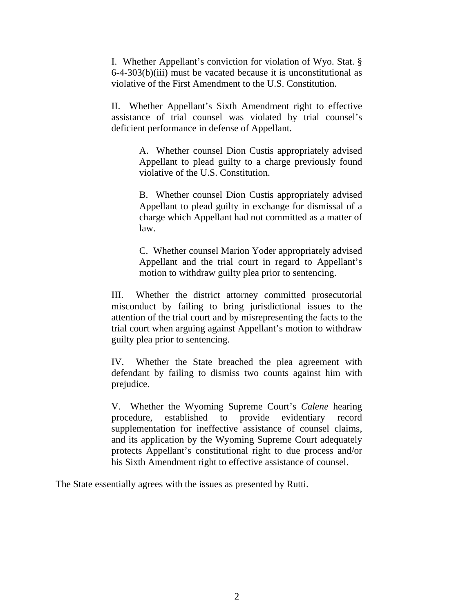I. Whether Appellant's conviction for violation of Wyo. Stat. § 6-4-303(b)(iii) must be vacated because it is unconstitutional as violative of the First Amendment to the U.S. Constitution.

II. Whether Appellant's Sixth Amendment right to effective assistance of trial counsel was violated by trial counsel's deficient performance in defense of Appellant.

> A. Whether counsel Dion Custis appropriately advised Appellant to plead guilty to a charge previously found violative of the U.S. Constitution.

> B. Whether counsel Dion Custis appropriately advised Appellant to plead guilty in exchange for dismissal of a charge which Appellant had not committed as a matter of law.

> C. Whether counsel Marion Yoder appropriately advised Appellant and the trial court in regard to Appellant's motion to withdraw guilty plea prior to sentencing.

III. Whether the district attorney committed prosecutorial misconduct by failing to bring jurisdictional issues to the attention of the trial court and by misrepresenting the facts to the trial court when arguing against Appellant's motion to withdraw guilty plea prior to sentencing.

IV. Whether the State breached the plea agreement with defendant by failing to dismiss two counts against him with prejudice.

V. Whether the Wyoming Supreme Court's *Calene* hearing procedure, established to provide evidentiary record supplementation for ineffective assistance of counsel claims, and its application by the Wyoming Supreme Court adequately protects Appellant's constitutional right to due process and/or his Sixth Amendment right to effective assistance of counsel.

The State essentially agrees with the issues as presented by Rutti.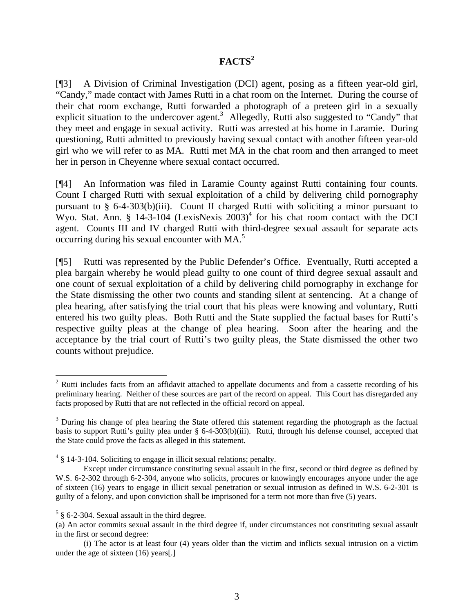# **FACTS<sup>2</sup>**

[¶3] A Division of Criminal Investigation (DCI) agent, posing as a fifteen year-old girl, "Candy," made contact with James Rutti in a chat room on the Internet. During the course of their chat room exchange, Rutti forwarded a photograph of a preteen girl in a sexually explicit situation to the undercover agent.<sup>3</sup> Allegedly, Rutti also suggested to "Candy" that they meet and engage in sexual activity. Rutti was arrested at his home in Laramie. During questioning, Rutti admitted to previously having sexual contact with another fifteen year-old girl who we will refer to as MA. Rutti met MA in the chat room and then arranged to meet her in person in Cheyenne where sexual contact occurred.

[¶4] An Information was filed in Laramie County against Rutti containing four counts. Count I charged Rutti with sexual exploitation of a child by delivering child pornography pursuant to § 6-4-303(b)(iii). Count II charged Rutti with soliciting a minor pursuant to Wyo. Stat. Ann. § 14-3-104 (LexisNexis  $2003$ )<sup>4</sup> for his chat room contact with the DCI agent. Counts III and IV charged Rutti with third-degree sexual assault for separate acts occurring during his sexual encounter with MA. 5

[¶5] Rutti was represented by the Public Defender's Office. Eventually, Rutti accepted a plea bargain whereby he would plead guilty to one count of third degree sexual assault and one count of sexual exploitation of a child by delivering child pornography in exchange for the State dismissing the other two counts and standing silent at sentencing. At a change of plea hearing, after satisfying the trial court that his pleas were knowing and voluntary, Rutti entered his two guilty pleas. Both Rutti and the State supplied the factual bases for Rutti's respective guilty pleas at the change of plea hearing. Soon after the hearing and the acceptance by the trial court of Rutti's two guilty pleas, the State dismissed the other two counts without prejudice.

 $\overline{a}$ 

 $2$  Rutti includes facts from an affidavit attached to appellate documents and from a cassette recording of his preliminary hearing. Neither of these sources are part of the record on appeal. This Court has disregarded any facts proposed by Rutti that are not reflected in the official record on appeal.

<sup>&</sup>lt;sup>3</sup> During his change of plea hearing the State offered this statement regarding the photograph as the factual basis to support Rutti's guilty plea under § 6-4-303(b)(iii). Rutti, through his defense counsel, accepted that the State could prove the facts as alleged in this statement.

 $4 \text{ }\frac{4}{9}$  14-3-104. Soliciting to engage in illicit sexual relations; penalty.

Except under circumstance constituting sexual assault in the first, second or third degree as defined by W.S. 6-2-302 through 6-2-304, anyone who solicits, procures or knowingly encourages anyone under the age of sixteen (16) years to engage in illicit sexual penetration or sexual intrusion as defined in W.S. 6-2-301 is guilty of a felony, and upon conviction shall be imprisoned for a term not more than five (5) years.

 $5 \text{ § } 6$ -2-304. Sexual assault in the third degree.

<sup>(</sup>a) An actor commits sexual assault in the third degree if, under circumstances not constituting sexual assault in the first or second degree:

<sup>(</sup>i) The actor is at least four (4) years older than the victim and inflicts sexual intrusion on a victim under the age of sixteen (16) years[.]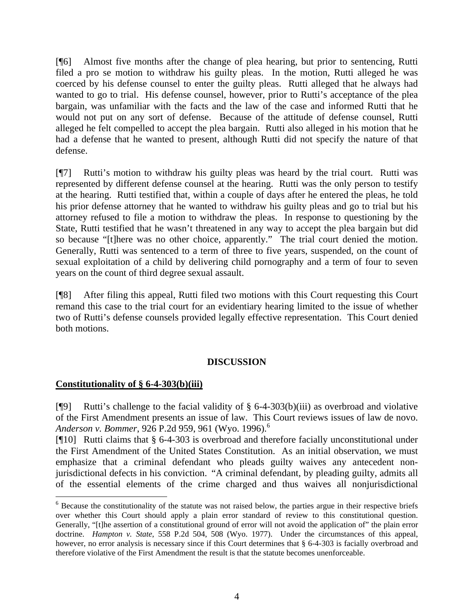[¶6] Almost five months after the change of plea hearing, but prior to sentencing, Rutti filed a pro se motion to withdraw his guilty pleas. In the motion, Rutti alleged he was coerced by his defense counsel to enter the guilty pleas. Rutti alleged that he always had wanted to go to trial. His defense counsel, however, prior to Rutti's acceptance of the plea bargain, was unfamiliar with the facts and the law of the case and informed Rutti that he would not put on any sort of defense. Because of the attitude of defense counsel, Rutti alleged he felt compelled to accept the plea bargain. Rutti also alleged in his motion that he had a defense that he wanted to present, although Rutti did not specify the nature of that defense.

[¶7] Rutti's motion to withdraw his guilty pleas was heard by the trial court. Rutti was represented by different defense counsel at the hearing. Rutti was the only person to testify at the hearing. Rutti testified that, within a couple of days after he entered the pleas, he told his prior defense attorney that he wanted to withdraw his guilty pleas and go to trial but his attorney refused to file a motion to withdraw the pleas. In response to questioning by the State, Rutti testified that he wasn't threatened in any way to accept the plea bargain but did so because "[t]here was no other choice, apparently." The trial court denied the motion. Generally, Rutti was sentenced to a term of three to five years, suspended, on the count of sexual exploitation of a child by delivering child pornography and a term of four to seven years on the count of third degree sexual assault.

[¶8] After filing this appeal, Rutti filed two motions with this Court requesting this Court remand this case to the trial court for an evidentiary hearing limited to the issue of whether two of Rutti's defense counsels provided legally effective representation. This Court denied both motions.

## **DISCUSSION**

## **Constitutionality of § 6-4-303(b)(iii)**

[ $[$ [9] Rutti's challenge to the facial validity of § 6-4-303(b)(iii) as overbroad and violative of the First Amendment presents an issue of law. This Court reviews issues of law de novo. *Anderson v. Bommer*, 926 P.2d 959, 961 (Wyo. 1996).<sup>6</sup>

[¶10] Rutti claims that § 6-4-303 is overbroad and therefore facially unconstitutional under the First Amendment of the United States Constitution. As an initial observation, we must emphasize that a criminal defendant who pleads guilty waives any antecedent nonjurisdictional defects in his conviction. "A criminal defendant, by pleading guilty, admits all of the essential elements of the crime charged and thus waives all nonjurisdictional

<sup>&</sup>lt;sup>6</sup> Because the constitutionality of the statute was not raised below, the parties argue in their respective briefs over whether this Court should apply a plain error standard of review to this constitutional question. Generally, "[t]he assertion of a constitutional ground of error will not avoid the application of" the plain error doctrine. *Hampton v. State*, 558 P.2d 504, 508 (Wyo. 1977). Under the circumstances of this appeal, however, no error analysis is necessary since if this Court determines that § 6-4-303 is facially overbroad and therefore violative of the First Amendment the result is that the statute becomes unenforceable.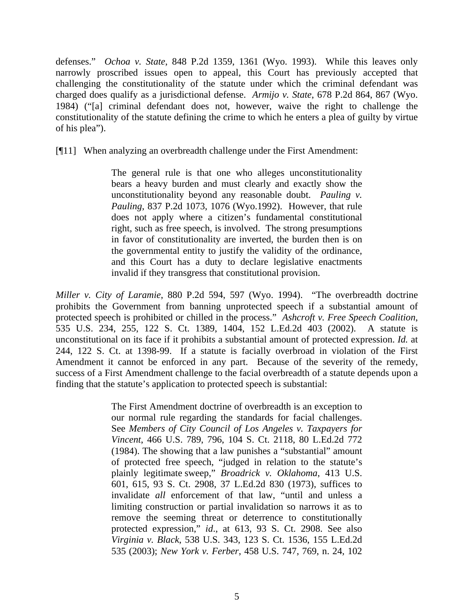defenses." *Ochoa v. State*, 848 P.2d 1359, 1361 (Wyo. 1993). While this leaves only narrowly proscribed issues open to appeal, this Court has previously accepted that challenging the constitutionality of the statute under which the criminal defendant was charged does qualify as a jurisdictional defense. *Armijo v. State*, 678 P.2d 864, 867 (Wyo. 1984) ("[a] criminal defendant does not, however, waive the right to challenge the constitutionality of the statute defining the crime to which he enters a plea of guilty by virtue of his plea").

[¶11] When analyzing an overbreadth challenge under the First Amendment:

The general rule is that one who alleges unconstitutionality bears a heavy burden and must clearly and exactly show the unconstitutionality beyond any reasonable doubt. *Pauling v. Pauling*, 837 P.2d 1073, 1076 (Wyo.1992). However, that rule does not apply where a citizen's fundamental constitutional right, such as free speech, is involved. The strong presumptions in favor of constitutionality are inverted, the burden then is on the governmental entity to justify the validity of the ordinance, and this Court has a duty to declare legislative enactments invalid if they transgress that constitutional provision.

*Miller v. City of Laramie*, 880 P.2d 594, 597 (Wyo. 1994). "The overbreadth doctrine prohibits the Government from banning unprotected speech if a substantial amount of protected speech is prohibited or chilled in the process." *Ashcroft v. Free Speech Coalition*, 535 U.S. 234, 255, 122 S. Ct. 1389, 1404, 152 L.Ed.2d 403 (2002). A statute is unconstitutional on its face if it prohibits a substantial amount of protected expression. *Id.* at 244, 122 S. Ct. at 1398-99. If a statute is facially overbroad in violation of the First Amendment it cannot be enforced in any part. Because of the severity of the remedy, success of a First Amendment challenge to the facial overbreadth of a statute depends upon a finding that the statute's application to protected speech is substantial:

> The First Amendment doctrine of overbreadth is an exception to our normal rule regarding the standards for facial challenges. See *Members of City Council of Los Angeles v. Taxpayers for Vincent*, 466 U.S. 789, 796, 104 S. Ct. 2118, 80 L.Ed.2d 772 (1984). The showing that a law punishes a "substantial" amount of protected free speech, "judged in relation to the statute's plainly legitimate sweep," *Broadrick v. Oklahoma*, 413 U.S. 601, 615, 93 S. Ct. 2908, 37 L.Ed.2d 830 (1973), suffices to invalidate *all* enforcement of that law, "until and unless a limiting construction or partial invalidation so narrows it as to remove the seeming threat or deterrence to constitutionally protected expression," *id*., at 613, 93 S. Ct. 2908. See also *Virginia v. Black*, 538 U.S. 343, 123 S. Ct. 1536, 155 L.Ed.2d 535 (2003); *New York v. Ferber*, 458 U.S. 747, 769, n. 24, 102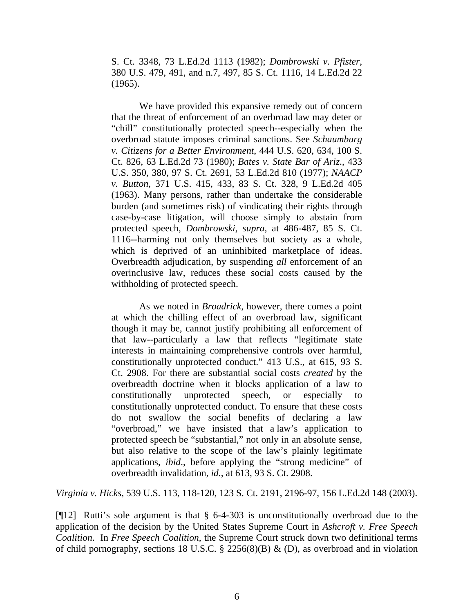S. Ct. 3348, 73 L.Ed.2d 1113 (1982); *Dombrowski v. Pfister*, 380 U.S. 479, 491, and n.7, 497, 85 S. Ct. 1116, 14 L.Ed.2d 22 (1965).

We have provided this expansive remedy out of concern that the threat of enforcement of an overbroad law may deter or "chill" constitutionally protected speech--especially when the overbroad statute imposes criminal sanctions. See *Schaumburg v. Citizens for a Better Environment*, 444 U.S. 620, 634, 100 S. Ct. 826, 63 L.Ed.2d 73 (1980); *Bates v. State Bar of Ariz*., 433 U.S. 350, 380, 97 S. Ct. 2691, 53 L.Ed.2d 810 (1977); *NAACP v. Button*, 371 U.S. 415, 433, 83 S. Ct. 328, 9 L.Ed.2d 405 (1963). Many persons, rather than undertake the considerable burden (and sometimes risk) of vindicating their rights through case-by-case litigation, will choose simply to abstain from protected speech, *Dombrowski*, *supra*, at 486-487, 85 S. Ct. 1116--harming not only themselves but society as a whole, which is deprived of an uninhibited marketplace of ideas. Overbreadth adjudication, by suspending *all* enforcement of an overinclusive law, reduces these social costs caused by the withholding of protected speech.

As we noted in *Broadrick*, however, there comes a point at which the chilling effect of an overbroad law, significant though it may be, cannot justify prohibiting all enforcement of that law--particularly a law that reflects "legitimate state interests in maintaining comprehensive controls over harmful, constitutionally unprotected conduct." 413 U.S., at 615, 93 S. Ct. 2908. For there are substantial social costs *created* by the overbreadth doctrine when it blocks application of a law to constitutionally unprotected speech, or especially to constitutionally unprotected conduct. To ensure that these costs do not swallow the social benefits of declaring a law "overbroad," we have insisted that a law's application to protected speech be "substantial," not only in an absolute sense, but also relative to the scope of the law's plainly legitimate applications, *ibid*., before applying the "strong medicine" of overbreadth invalidation, *id.*, at 613, 93 S. Ct. 2908.

*Virginia v. Hicks*, 539 U.S. 113, 118-120, 123 S. Ct. 2191, 2196-97, 156 L.Ed.2d 148 (2003).

[ $[12]$ ] Rutti's sole argument is that § 6-4-303 is unconstitutionally overbroad due to the application of the decision by the United States Supreme Court in *Ashcroft v. Free Speech Coalition*. In *Free Speech Coalition*, the Supreme Court struck down two definitional terms of child pornography, sections 18 U.S.C. § 2256(8)(B) & (D), as overbroad and in violation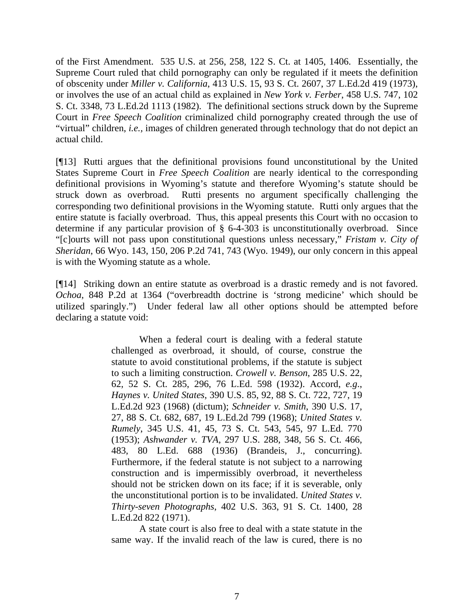of the First Amendment. 535 U.S. at 256, 258, 122 S. Ct. at 1405, 1406. Essentially, the Supreme Court ruled that child pornography can only be regulated if it meets the definition of obscenity under *Miller v. California*, 413 U.S. 15, 93 S. Ct. 2607, 37 L.Ed.2d 419 (1973), or involves the use of an actual child as explained in *New York v. Ferber*, 458 U.S. 747, 102 S. Ct. 3348, 73 L.Ed.2d 1113 (1982). The definitional sections struck down by the Supreme Court in *Free Speech Coalition* criminalized child pornography created through the use of "virtual" children, *i.e.,* images of children generated through technology that do not depict an actual child.

[¶13] Rutti argues that the definitional provisions found unconstitutional by the United States Supreme Court in *Free Speech Coalition* are nearly identical to the corresponding definitional provisions in Wyoming's statute and therefore Wyoming's statute should be struck down as overbroad. Rutti presents no argument specifically challenging the corresponding two definitional provisions in the Wyoming statute. Rutti only argues that the entire statute is facially overbroad. Thus, this appeal presents this Court with no occasion to determine if any particular provision of § 6-4-303 is unconstitutionally overbroad. Since "[c]ourts will not pass upon constitutional questions unless necessary," *Fristam v. City of Sheridan*, 66 Wyo. 143, 150, 206 P.2d 741, 743 (Wyo. 1949), our only concern in this appeal is with the Wyoming statute as a whole.

[¶14] Striking down an entire statute as overbroad is a drastic remedy and is not favored. *Ochoa*, 848 P.2d at 1364 ("overbreadth doctrine is 'strong medicine' which should be utilized sparingly.") Under federal law all other options should be attempted before declaring a statute void:

> When a federal court is dealing with a federal statute challenged as overbroad, it should, of course, construe the statute to avoid constitutional problems, if the statute is subject to such a limiting construction. *Crowell v. Benson*, 285 U.S. 22, 62, 52 S. Ct. 285, 296, 76 L.Ed. 598 (1932). Accord, *e.g*., *Haynes v. United States*, 390 U.S. 85, 92, 88 S. Ct. 722, 727, 19 L.Ed.2d 923 (1968) (dictum); *Schneider v. Smith*, 390 U.S. 17, 27, 88 S. Ct. 682, 687, 19 L.Ed.2d 799 (1968); *United States v. Rumely*, 345 U.S. 41, 45, 73 S. Ct. 543, 545, 97 L.Ed. 770 (1953); *Ashwander v. TVA*, 297 U.S. 288, 348, 56 S. Ct. 466, 483, 80 L.Ed. 688 (1936) (Brandeis, J., concurring). Furthermore, if the federal statute is not subject to a narrowing construction and is impermissibly overbroad, it nevertheless should not be stricken down on its face; if it is severable, only the unconstitutional portion is to be invalidated. *United States v. Thirty-seven Photographs*, 402 U.S. 363, 91 S. Ct. 1400, 28 L.Ed.2d 822 (1971).

> A state court is also free to deal with a state statute in the same way. If the invalid reach of the law is cured, there is no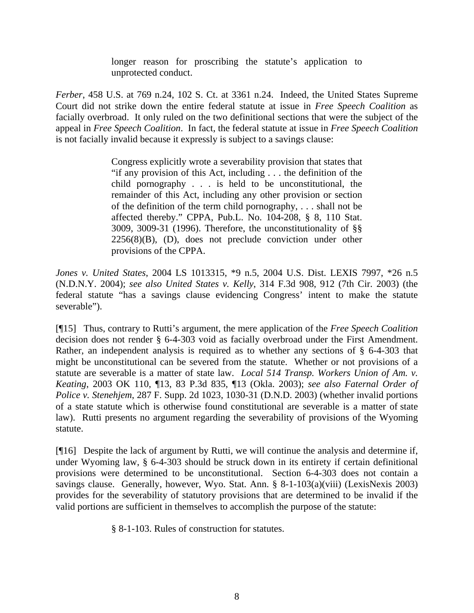longer reason for proscribing the statute's application to unprotected conduct.

*Ferber*, 458 U.S. at 769 n.24, 102 S. Ct. at 3361 n.24. Indeed, the United States Supreme Court did not strike down the entire federal statute at issue in *Free Speech Coalition* as facially overbroad. It only ruled on the two definitional sections that were the subject of the appeal in *Free Speech Coalition*. In fact, the federal statute at issue in *Free Speech Coalition* is not facially invalid because it expressly is subject to a savings clause:

> Congress explicitly wrote a severability provision that states that "if any provision of this Act, including . . . the definition of the child pornography . . . is held to be unconstitutional, the remainder of this Act, including any other provision or section of the definition of the term child pornography, . . . shall not be affected thereby." CPPA, Pub.L. No. 104-208, § 8, 110 Stat. 3009, 3009-31 (1996). Therefore, the unconstitutionality of §§  $2256(8)(B)$ , (D), does not preclude conviction under other provisions of the CPPA.

*Jones v. United States*, 2004 LS 1013315, \*9 n.5, 2004 U.S. Dist. LEXIS 7997, \*26 n.5 (N.D.N.Y. 2004); *see also United States v. Kelly*, 314 F.3d 908, 912 (7th Cir. 2003) (the federal statute "has a savings clause evidencing Congress' intent to make the statute severable").

[¶15] Thus, contrary to Rutti's argument, the mere application of the *Free Speech Coalition* decision does not render § 6-4-303 void as facially overbroad under the First Amendment. Rather, an independent analysis is required as to whether any sections of § 6-4-303 that might be unconstitutional can be severed from the statute. Whether or not provisions of a statute are severable is a matter of state law. *Local 514 Transp. Workers Union of Am. v. Keating*, 2003 OK 110, ¶13, 83 P.3d 835, ¶13 (Okla. 2003); *see also Faternal Order of Police v. Stenehjem*, 287 F. Supp. 2d 1023, 1030-31 (D.N.D. 2003) (whether invalid portions of a state statute which is otherwise found constitutional are severable is a matter of state law). Rutti presents no argument regarding the severability of provisions of the Wyoming statute.

[¶16] Despite the lack of argument by Rutti, we will continue the analysis and determine if, under Wyoming law, § 6-4-303 should be struck down in its entirety if certain definitional provisions were determined to be unconstitutional. Section 6-4-303 does not contain a savings clause. Generally, however, Wyo. Stat. Ann. § 8-1-103(a)(viii) (LexisNexis 2003) provides for the severability of statutory provisions that are determined to be invalid if the valid portions are sufficient in themselves to accomplish the purpose of the statute:

§ 8-1-103. Rules of construction for statutes.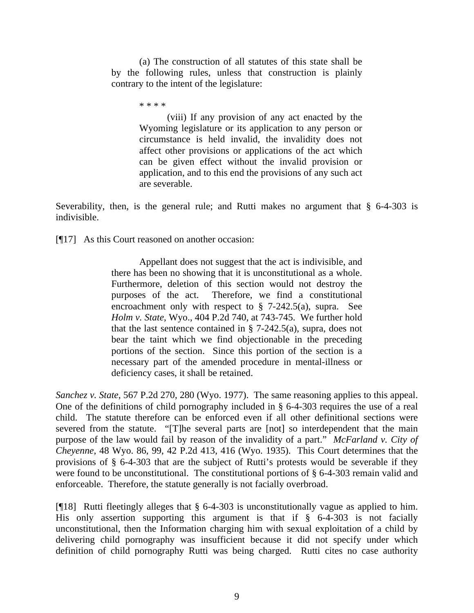(a) The construction of all statutes of this state shall be by the following rules, unless that construction is plainly contrary to the intent of the legislature:

\* \* \* \*

(viii) If any provision of any act enacted by the Wyoming legislature or its application to any person or circumstance is held invalid, the invalidity does not affect other provisions or applications of the act which can be given effect without the invalid provision or application, and to this end the provisions of any such act are severable.

Severability, then, is the general rule; and Rutti makes no argument that  $\S$  6-4-303 is indivisible.

[¶17] As this Court reasoned on another occasion:

Appellant does not suggest that the act is indivisible, and there has been no showing that it is unconstitutional as a whole. Furthermore, deletion of this section would not destroy the purposes of the act. Therefore, we find a constitutional encroachment only with respect to § 7-242.5(a), supra. See *Holm v. State*, Wyo., 404 P.2d 740, at 743-745. We further hold that the last sentence contained in  $\S$  7-242.5(a), supra, does not bear the taint which we find objectionable in the preceding portions of the section. Since this portion of the section is a necessary part of the amended procedure in mental-illness or deficiency cases, it shall be retained.

*Sanchez v. State*, 567 P.2d 270, 280 (Wyo. 1977). The same reasoning applies to this appeal. One of the definitions of child pornography included in § 6-4-303 requires the use of a real child. The statute therefore can be enforced even if all other definitional sections were severed from the statute. "[T]he several parts are [not] so interdependent that the main purpose of the law would fail by reason of the invalidity of a part." *McFarland v. City of Cheyenne*, 48 Wyo. 86, 99, 42 P.2d 413, 416 (Wyo. 1935). This Court determines that the provisions of § 6-4-303 that are the subject of Rutti's protests would be severable if they were found to be unconstitutional. The constitutional portions of § 6-4-303 remain valid and enforceable. Therefore, the statute generally is not facially overbroad.

[¶18] Rutti fleetingly alleges that § 6-4-303 is unconstitutionally vague as applied to him. His only assertion supporting this argument is that if  $\S$  6-4-303 is not facially unconstitutional, then the Information charging him with sexual exploitation of a child by delivering child pornography was insufficient because it did not specify under which definition of child pornography Rutti was being charged. Rutti cites no case authority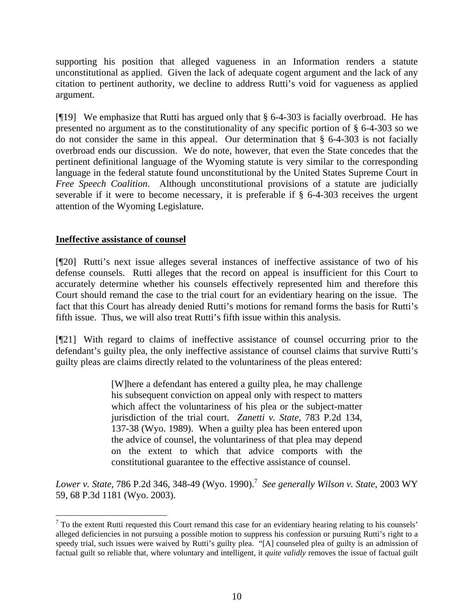supporting his position that alleged vagueness in an Information renders a statute unconstitutional as applied. Given the lack of adequate cogent argument and the lack of any citation to pertinent authority, we decline to address Rutti's void for vagueness as applied argument.

[¶19] We emphasize that Rutti has argued only that § 6-4-303 is facially overbroad. He has presented no argument as to the constitutionality of any specific portion of § 6-4-303 so we do not consider the same in this appeal. Our determination that § 6-4-303 is not facially overbroad ends our discussion. We do note, however, that even the State concedes that the pertinent definitional language of the Wyoming statute is very similar to the corresponding language in the federal statute found unconstitutional by the United States Supreme Court in *Free Speech Coalition*. Although unconstitutional provisions of a statute are judicially severable if it were to become necessary, it is preferable if § 6-4-303 receives the urgent attention of the Wyoming Legislature.

# **Ineffective assistance of counsel**

 $\overline{a}$ 

[¶20] Rutti's next issue alleges several instances of ineffective assistance of two of his defense counsels. Rutti alleges that the record on appeal is insufficient for this Court to accurately determine whether his counsels effectively represented him and therefore this Court should remand the case to the trial court for an evidentiary hearing on the issue. The fact that this Court has already denied Rutti's motions for remand forms the basis for Rutti's fifth issue. Thus, we will also treat Rutti's fifth issue within this analysis.

[¶21] With regard to claims of ineffective assistance of counsel occurring prior to the defendant's guilty plea, the only ineffective assistance of counsel claims that survive Rutti's guilty pleas are claims directly related to the voluntariness of the pleas entered:

> [W]here a defendant has entered a guilty plea, he may challenge his subsequent conviction on appeal only with respect to matters which affect the voluntariness of his plea or the subject-matter jurisdiction of the trial court. *Zanetti v. State*, 783 P.2d 134, 137-38 (Wyo. 1989). When a guilty plea has been entered upon the advice of counsel, the voluntariness of that plea may depend on the extent to which that advice comports with the constitutional guarantee to the effective assistance of counsel.

*Lower v. State*, 786 P.2d 346, 348-49 (Wyo. 1990).<sup>7</sup> *See generally Wilson v. State*, 2003 WY 59, 68 P.3d 1181 (Wyo. 2003).

 $<sup>7</sup>$  To the extent Rutti requested this Court remand this case for an evidentiary hearing relating to his counsels'</sup> alleged deficiencies in not pursuing a possible motion to suppress his confession or pursuing Rutti's right to a speedy trial, such issues were waived by Rutti's guilty plea. "[A] counseled plea of guilty is an admission of factual guilt so reliable that, where voluntary and intelligent, it *quite validly* removes the issue of factual guilt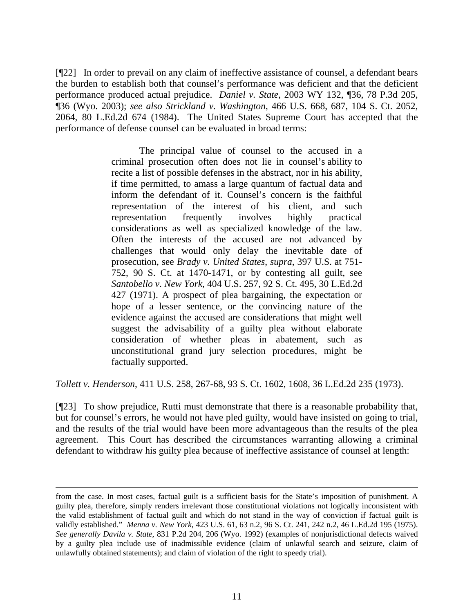[¶22] In order to prevail on any claim of ineffective assistance of counsel, a defendant bears the burden to establish both that counsel's performance was deficient and that the deficient performance produced actual prejudice. *Daniel v. State*, 2003 WY 132, ¶36, 78 P.3d 205, ¶36 (Wyo. 2003); *see also Strickland v. Washington*, 466 U.S. 668, 687, 104 S. Ct. 2052, 2064, 80 L.Ed.2d 674 (1984). The United States Supreme Court has accepted that the performance of defense counsel can be evaluated in broad terms:

> The principal value of counsel to the accused in a criminal prosecution often does not lie in counsel's ability to recite a list of possible defenses in the abstract, nor in his ability, if time permitted, to amass a large quantum of factual data and inform the defendant of it. Counsel's concern is the faithful representation of the interest of his client, and such representation frequently involves highly practical considerations as well as specialized knowledge of the law. Often the interests of the accused are not advanced by challenges that would only delay the inevitable date of prosecution, see *Brady v. United States*, *supra*, 397 U.S. at 751- 752, 90 S. Ct. at 1470-1471, or by contesting all guilt, see *Santobello v. New York*, 404 U.S. 257, 92 S. Ct. 495, 30 L.Ed.2d 427 (1971). A prospect of plea bargaining, the expectation or hope of a lesser sentence, or the convincing nature of the evidence against the accused are considerations that might well suggest the advisability of a guilty plea without elaborate consideration of whether pleas in abatement, such as unconstitutional grand jury selection procedures, might be factually supported.

*Tollett v. Henderson*, 411 U.S. 258, 267-68, 93 S. Ct. 1602, 1608, 36 L.Ed.2d 235 (1973).

[¶23] To show prejudice, Rutti must demonstrate that there is a reasonable probability that, but for counsel's errors, he would not have pled guilty, would have insisted on going to trial, and the results of the trial would have been more advantageous than the results of the plea agreement. This Court has described the circumstances warranting allowing a criminal defendant to withdraw his guilty plea because of ineffective assistance of counsel at length:

from the case. In most cases, factual guilt is a sufficient basis for the State's imposition of punishment. A guilty plea, therefore, simply renders irrelevant those constitutional violations not logically inconsistent with the valid establishment of factual guilt and which do not stand in the way of conviction if factual guilt is validly established." *Menna v. New York*, 423 U.S. 61, 63 n.2, 96 S. Ct. 241, 242 n.2, 46 L.Ed.2d 195 (1975). *See generally Davila v. State*, 831 P.2d 204, 206 (Wyo. 1992) (examples of nonjurisdictional defects waived by a guilty plea include use of inadmissible evidence (claim of unlawful search and seizure, claim of unlawfully obtained statements); and claim of violation of the right to speedy trial).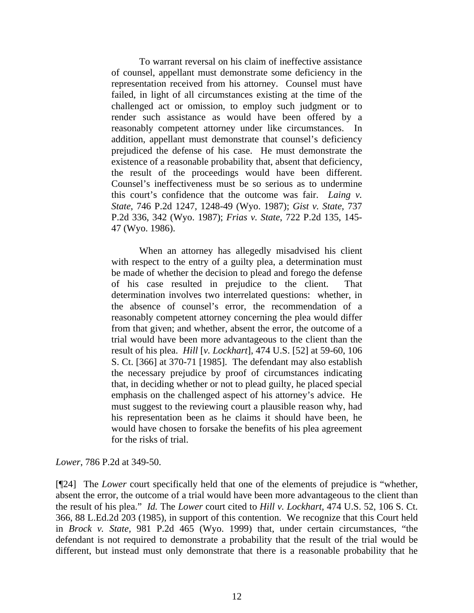To warrant reversal on his claim of ineffective assistance of counsel, appellant must demonstrate some deficiency in the representation received from his attorney. Counsel must have failed, in light of all circumstances existing at the time of the challenged act or omission, to employ such judgment or to render such assistance as would have been offered by a reasonably competent attorney under like circumstances. In addition, appellant must demonstrate that counsel's deficiency prejudiced the defense of his case. He must demonstrate the existence of a reasonable probability that, absent that deficiency, the result of the proceedings would have been different. Counsel's ineffectiveness must be so serious as to undermine this court's confidence that the outcome was fair. *Laing v. State*, 746 P.2d 1247, 1248-49 (Wyo. 1987); *Gist v. State*, 737 P.2d 336, 342 (Wyo. 1987); *Frias v. State*, 722 P.2d 135, 145- 47 (Wyo. 1986).

When an attorney has allegedly misadvised his client with respect to the entry of a guilty plea, a determination must be made of whether the decision to plead and forego the defense of his case resulted in prejudice to the client. That determination involves two interrelated questions: whether, in the absence of counsel's error, the recommendation of a reasonably competent attorney concerning the plea would differ from that given; and whether, absent the error, the outcome of a trial would have been more advantageous to the client than the result of his plea. *Hill* [*v. Lockhart*], 474 U.S. [52] at 59-60, 106 S. Ct. [366] at 370-71 [1985]. The defendant may also establish the necessary prejudice by proof of circumstances indicating that, in deciding whether or not to plead guilty, he placed special emphasis on the challenged aspect of his attorney's advice. He must suggest to the reviewing court a plausible reason why, had his representation been as he claims it should have been, he would have chosen to forsake the benefits of his plea agreement for the risks of trial.

*Lower*, 786 P.2d at 349-50.

[¶24] The *Lower* court specifically held that one of the elements of prejudice is "whether, absent the error, the outcome of a trial would have been more advantageous to the client than the result of his plea." *Id.* The *Lower* court cited to *Hill v. Lockhart*, 474 U.S. 52, 106 S. Ct. 366, 88 L.Ed.2d 203 (1985), in support of this contention. We recognize that this Court held in *Brock v. State,* 981 P.2d 465 (Wyo. 1999) that, under certain circumstances, "the defendant is not required to demonstrate a probability that the result of the trial would be different, but instead must only demonstrate that there is a reasonable probability that he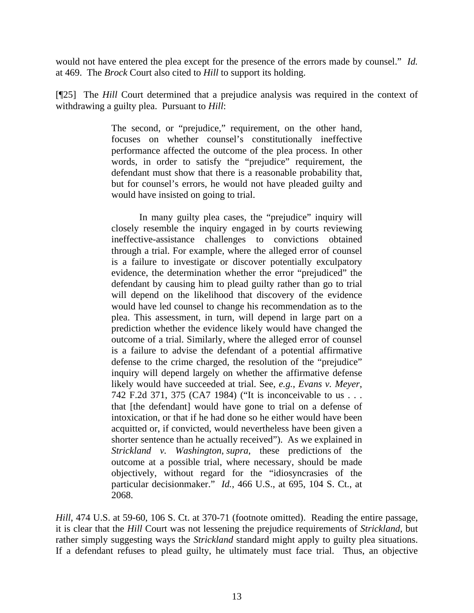would not have entered the plea except for the presence of the errors made by counsel." *Id.*  at 469. The *Brock* Court also cited to *Hill* to support its holding.

[¶25] The *Hill* Court determined that a prejudice analysis was required in the context of withdrawing a guilty plea. Pursuant to *Hill*:

> The second, or "prejudice," requirement, on the other hand, focuses on whether counsel's constitutionally ineffective performance affected the outcome of the plea process. In other words, in order to satisfy the "prejudice" requirement, the defendant must show that there is a reasonable probability that, but for counsel's errors, he would not have pleaded guilty and would have insisted on going to trial.

> In many guilty plea cases, the "prejudice" inquiry will closely resemble the inquiry engaged in by courts reviewing ineffective-assistance challenges to convictions obtained through a trial. For example, where the alleged error of counsel is a failure to investigate or discover potentially exculpatory evidence, the determination whether the error "prejudiced" the defendant by causing him to plead guilty rather than go to trial will depend on the likelihood that discovery of the evidence would have led counsel to change his recommendation as to the plea. This assessment, in turn, will depend in large part on a prediction whether the evidence likely would have changed the outcome of a trial. Similarly, where the alleged error of counsel is a failure to advise the defendant of a potential affirmative defense to the crime charged, the resolution of the "prejudice" inquiry will depend largely on whether the affirmative defense likely would have succeeded at trial. See, *e.g.*, *Evans v. Meyer*, 742 F.2d 371, 375 (CA7 1984) ("It is inconceivable to us . . . that [the defendant] would have gone to trial on a defense of intoxication, or that if he had done so he either would have been acquitted or, if convicted, would nevertheless have been given a shorter sentence than he actually received"). As we explained in *Strickland v. Washington*, *supra*, these predictions of the outcome at a possible trial, where necessary, should be made objectively, without regard for the "idiosyncrasies of the particular decisionmaker." *Id.*, 466 U.S., at 695, 104 S. Ct., at 2068.

*Hill*, 474 U.S. at 59-60, 106 S. Ct. at 370-71 (footnote omitted). Reading the entire passage, it is clear that the *Hill* Court was not lessening the prejudice requirements of *Strickland*, but rather simply suggesting ways the *Strickland* standard might apply to guilty plea situations. If a defendant refuses to plead guilty, he ultimately must face trial. Thus, an objective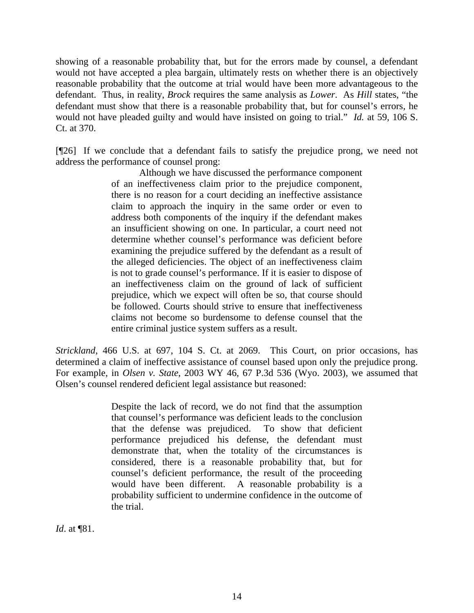showing of a reasonable probability that, but for the errors made by counsel, a defendant would not have accepted a plea bargain, ultimately rests on whether there is an objectively reasonable probability that the outcome at trial would have been more advantageous to the defendant. Thus, in reality, *Brock* requires the same analysis as *Lower*. As *Hill* states, "the defendant must show that there is a reasonable probability that, but for counsel's errors, he would not have pleaded guilty and would have insisted on going to trial." *Id.* at 59, 106 S. Ct. at 370.

[¶26] If we conclude that a defendant fails to satisfy the prejudice prong, we need not address the performance of counsel prong:

Although we have discussed the performance component of an ineffectiveness claim prior to the prejudice component, there is no reason for a court deciding an ineffective assistance claim to approach the inquiry in the same order or even to address both components of the inquiry if the defendant makes an insufficient showing on one. In particular, a court need not determine whether counsel's performance was deficient before examining the prejudice suffered by the defendant as a result of the alleged deficiencies. The object of an ineffectiveness claim is not to grade counsel's performance. If it is easier to dispose of an ineffectiveness claim on the ground of lack of sufficient prejudice, which we expect will often be so, that course should be followed. Courts should strive to ensure that ineffectiveness claims not become so burdensome to defense counsel that the entire criminal justice system suffers as a result.

*Strickland*, 466 U.S. at 697, 104 S. Ct. at 2069. This Court, on prior occasions, has determined a claim of ineffective assistance of counsel based upon only the prejudice prong. For example, in *Olsen v. State*, 2003 WY 46, 67 P.3d 536 (Wyo. 2003), we assumed that Olsen's counsel rendered deficient legal assistance but reasoned:

> Despite the lack of record, we do not find that the assumption that counsel's performance was deficient leads to the conclusion that the defense was prejudiced. To show that deficient performance prejudiced his defense, the defendant must demonstrate that, when the totality of the circumstances is considered, there is a reasonable probability that, but for counsel's deficient performance, the result of the proceeding would have been different. A reasonable probability is a probability sufficient to undermine confidence in the outcome of the trial.

*Id*. at ¶81.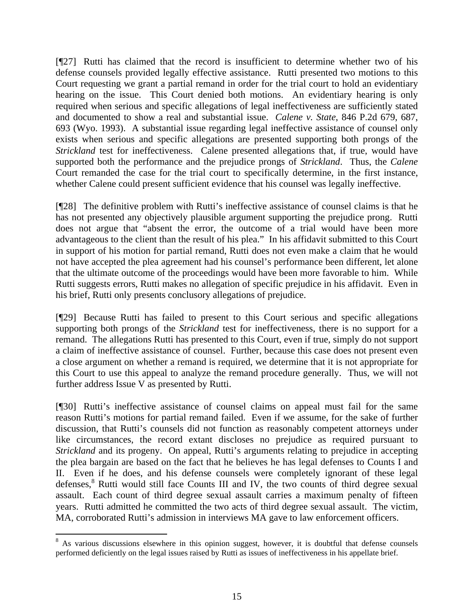[¶27] Rutti has claimed that the record is insufficient to determine whether two of his defense counsels provided legally effective assistance. Rutti presented two motions to this Court requesting we grant a partial remand in order for the trial court to hold an evidentiary hearing on the issue. This Court denied both motions. An evidentiary hearing is only required when serious and specific allegations of legal ineffectiveness are sufficiently stated and documented to show a real and substantial issue. *Calene v. State*, 846 P.2d 679, 687, 693 (Wyo. 1993). A substantial issue regarding legal ineffective assistance of counsel only exists when serious and specific allegations are presented supporting both prongs of the *Strickland* test for ineffectiveness. Calene presented allegations that, if true, would have supported both the performance and the prejudice prongs of *Strickland*. Thus, the *Calene* Court remanded the case for the trial court to specifically determine, in the first instance, whether Calene could present sufficient evidence that his counsel was legally ineffective.

[¶28] The definitive problem with Rutti's ineffective assistance of counsel claims is that he has not presented any objectively plausible argument supporting the prejudice prong. Rutti does not argue that "absent the error, the outcome of a trial would have been more advantageous to the client than the result of his plea." In his affidavit submitted to this Court in support of his motion for partial remand, Rutti does not even make a claim that he would not have accepted the plea agreement had his counsel's performance been different, let alone that the ultimate outcome of the proceedings would have been more favorable to him. While Rutti suggests errors, Rutti makes no allegation of specific prejudice in his affidavit. Even in his brief, Rutti only presents conclusory allegations of prejudice.

[¶29] Because Rutti has failed to present to this Court serious and specific allegations supporting both prongs of the *Strickland* test for ineffectiveness, there is no support for a remand. The allegations Rutti has presented to this Court, even if true, simply do not support a claim of ineffective assistance of counsel. Further, because this case does not present even a close argument on whether a remand is required, we determine that it is not appropriate for this Court to use this appeal to analyze the remand procedure generally. Thus, we will not further address Issue V as presented by Rutti.

[¶30] Rutti's ineffective assistance of counsel claims on appeal must fail for the same reason Rutti's motions for partial remand failed. Even if we assume, for the sake of further discussion, that Rutti's counsels did not function as reasonably competent attorneys under like circumstances, the record extant discloses no prejudice as required pursuant to *Strickland* and its progeny. On appeal, Rutti's arguments relating to prejudice in accepting the plea bargain are based on the fact that he believes he has legal defenses to Counts I and II. Even if he does, and his defense counsels were completely ignorant of these legal defenses,<sup>8</sup> Rutti would still face Counts III and IV, the two counts of third degree sexual assault. Each count of third degree sexual assault carries a maximum penalty of fifteen years. Rutti admitted he committed the two acts of third degree sexual assault. The victim, MA, corroborated Rutti's admission in interviews MA gave to law enforcement officers.

<sup>&</sup>lt;sup>8</sup> As various discussions elsewhere in this opinion suggest, however, it is doubtful that defense counsels performed deficiently on the legal issues raised by Rutti as issues of ineffectiveness in his appellate brief.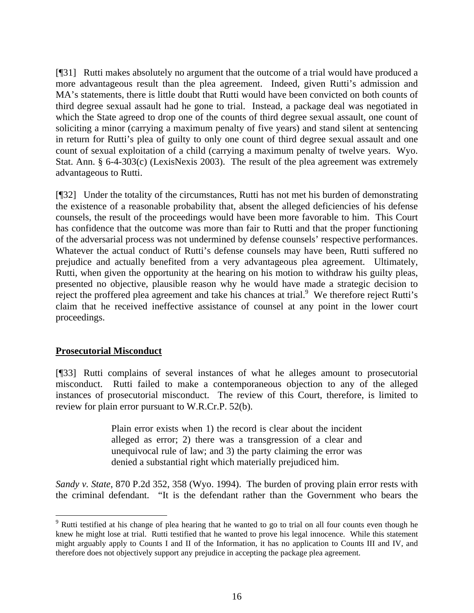[¶31] Rutti makes absolutely no argument that the outcome of a trial would have produced a more advantageous result than the plea agreement. Indeed, given Rutti's admission and MA's statements, there is little doubt that Rutti would have been convicted on both counts of third degree sexual assault had he gone to trial. Instead, a package deal was negotiated in which the State agreed to drop one of the counts of third degree sexual assault, one count of soliciting a minor (carrying a maximum penalty of five years) and stand silent at sentencing in return for Rutti's plea of guilty to only one count of third degree sexual assault and one count of sexual exploitation of a child (carrying a maximum penalty of twelve years. Wyo. Stat. Ann. § 6-4-303(c) (LexisNexis 2003). The result of the plea agreement was extremely advantageous to Rutti.

[¶32] Under the totality of the circumstances, Rutti has not met his burden of demonstrating the existence of a reasonable probability that, absent the alleged deficiencies of his defense counsels, the result of the proceedings would have been more favorable to him. This Court has confidence that the outcome was more than fair to Rutti and that the proper functioning of the adversarial process was not undermined by defense counsels' respective performances. Whatever the actual conduct of Rutti's defense counsels may have been, Rutti suffered no prejudice and actually benefited from a very advantageous plea agreement. Ultimately, Rutti, when given the opportunity at the hearing on his motion to withdraw his guilty pleas, presented no objective, plausible reason why he would have made a strategic decision to reject the proffered plea agreement and take his chances at trial.<sup>9</sup> We therefore reject Rutti's claim that he received ineffective assistance of counsel at any point in the lower court proceedings.

## **Prosecutorial Misconduct**

 $\overline{a}$ 

[¶33] Rutti complains of several instances of what he alleges amount to prosecutorial misconduct. Rutti failed to make a contemporaneous objection to any of the alleged instances of prosecutorial misconduct. The review of this Court, therefore, is limited to review for plain error pursuant to W.R.Cr.P. 52(b).

> Plain error exists when 1) the record is clear about the incident alleged as error; 2) there was a transgression of a clear and unequivocal rule of law; and 3) the party claiming the error was denied a substantial right which materially prejudiced him.

*Sandy v. State*, 870 P.2d 352, 358 (Wyo. 1994). The burden of proving plain error rests with the criminal defendant. "It is the defendant rather than the Government who bears the

<sup>&</sup>lt;sup>9</sup> Rutti testified at his change of plea hearing that he wanted to go to trial on all four counts even though he knew he might lose at trial. Rutti testified that he wanted to prove his legal innocence. While this statement might arguably apply to Counts I and II of the Information, it has no application to Counts III and IV, and therefore does not objectively support any prejudice in accepting the package plea agreement.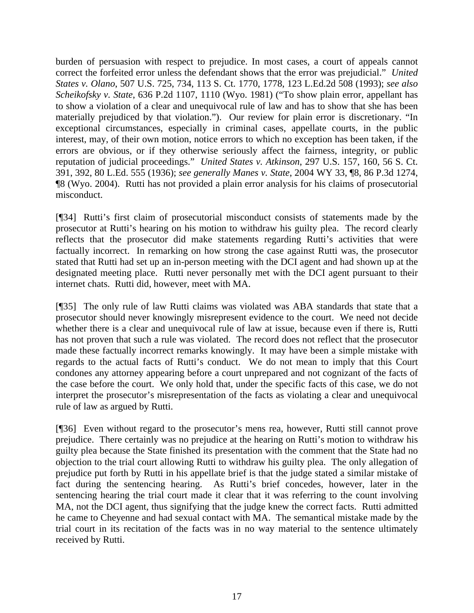burden of persuasion with respect to prejudice. In most cases, a court of appeals cannot correct the forfeited error unless the defendant shows that the error was prejudicial." *United States v. Olano*, 507 U.S. 725, 734, 113 S. Ct. 1770, 1778, 123 L.Ed.2d 508 (1993); *see also Scheikofsky v. State*, 636 P.2d 1107, 1110 (Wyo. 1981) ("To show plain error, appellant has to show a violation of a clear and unequivocal rule of law and has to show that she has been materially prejudiced by that violation."). Our review for plain error is discretionary. "In exceptional circumstances, especially in criminal cases, appellate courts, in the public interest, may, of their own motion, notice errors to which no exception has been taken, if the errors are obvious, or if they otherwise seriously affect the fairness, integrity, or public reputation of judicial proceedings." *United States v. Atkinson*, 297 U.S. 157, 160, 56 S. Ct. 391, 392, 80 L.Ed. 555 (1936); *see generally Manes v. State*, 2004 WY 33, ¶8, 86 P.3d 1274, ¶8 (Wyo. 2004). Rutti has not provided a plain error analysis for his claims of prosecutorial misconduct.

[¶34] Rutti's first claim of prosecutorial misconduct consists of statements made by the prosecutor at Rutti's hearing on his motion to withdraw his guilty plea. The record clearly reflects that the prosecutor did make statements regarding Rutti's activities that were factually incorrect. In remarking on how strong the case against Rutti was, the prosecutor stated that Rutti had set up an in-person meeting with the DCI agent and had shown up at the designated meeting place. Rutti never personally met with the DCI agent pursuant to their internet chats. Rutti did, however, meet with MA.

[¶35] The only rule of law Rutti claims was violated was ABA standards that state that a prosecutor should never knowingly misrepresent evidence to the court. We need not decide whether there is a clear and unequivocal rule of law at issue, because even if there is, Rutti has not proven that such a rule was violated. The record does not reflect that the prosecutor made these factually incorrect remarks knowingly. It may have been a simple mistake with regards to the actual facts of Rutti's conduct. We do not mean to imply that this Court condones any attorney appearing before a court unprepared and not cognizant of the facts of the case before the court. We only hold that, under the specific facts of this case, we do not interpret the prosecutor's misrepresentation of the facts as violating a clear and unequivocal rule of law as argued by Rutti.

[¶36] Even without regard to the prosecutor's mens rea, however, Rutti still cannot prove prejudice. There certainly was no prejudice at the hearing on Rutti's motion to withdraw his guilty plea because the State finished its presentation with the comment that the State had no objection to the trial court allowing Rutti to withdraw his guilty plea. The only allegation of prejudice put forth by Rutti in his appellate brief is that the judge stated a similar mistake of fact during the sentencing hearing. As Rutti's brief concedes, however, later in the sentencing hearing the trial court made it clear that it was referring to the count involving MA, not the DCI agent, thus signifying that the judge knew the correct facts. Rutti admitted he came to Cheyenne and had sexual contact with MA. The semantical mistake made by the trial court in its recitation of the facts was in no way material to the sentence ultimately received by Rutti.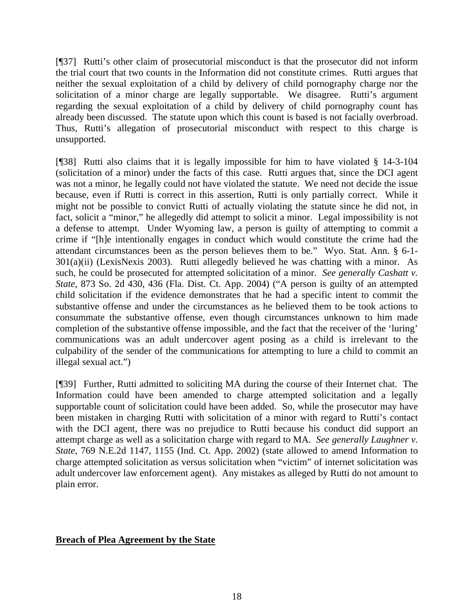[¶37] Rutti's other claim of prosecutorial misconduct is that the prosecutor did not inform the trial court that two counts in the Information did not constitute crimes. Rutti argues that neither the sexual exploitation of a child by delivery of child pornography charge nor the solicitation of a minor charge are legally supportable. We disagree. Rutti's argument regarding the sexual exploitation of a child by delivery of child pornography count has already been discussed. The statute upon which this count is based is not facially overbroad. Thus, Rutti's allegation of prosecutorial misconduct with respect to this charge is unsupported.

[¶38] Rutti also claims that it is legally impossible for him to have violated § 14-3-104 (solicitation of a minor) under the facts of this case. Rutti argues that, since the DCI agent was not a minor, he legally could not have violated the statute. We need not decide the issue because, even if Rutti is correct in this assertion, Rutti is only partially correct. While it might not be possible to convict Rutti of actually violating the statute since he did not, in fact, solicit a "minor," he allegedly did attempt to solicit a minor. Legal impossibility is not a defense to attempt. Under Wyoming law, a person is guilty of attempting to commit a crime if "[h]e intentionally engages in conduct which would constitute the crime had the attendant circumstances been as the person believes them to be." Wyo. Stat. Ann. § 6-1- 301(a)(ii) (LexisNexis 2003). Rutti allegedly believed he was chatting with a minor. As such, he could be prosecuted for attempted solicitation of a minor. *See generally Cashatt v. State*, 873 So. 2d 430, 436 (Fla. Dist. Ct. App. 2004) ("A person is guilty of an attempted child solicitation if the evidence demonstrates that he had a specific intent to commit the substantive offense and under the circumstances as he believed them to be took actions to consummate the substantive offense, even though circumstances unknown to him made completion of the substantive offense impossible, and the fact that the receiver of the 'luring' communications was an adult undercover agent posing as a child is irrelevant to the culpability of the sender of the communications for attempting to lure a child to commit an illegal sexual act.")

[¶39] Further, Rutti admitted to soliciting MA during the course of their Internet chat. The Information could have been amended to charge attempted solicitation and a legally supportable count of solicitation could have been added. So, while the prosecutor may have been mistaken in charging Rutti with solicitation of a minor with regard to Rutti's contact with the DCI agent, there was no prejudice to Rutti because his conduct did support an attempt charge as well as a solicitation charge with regard to MA. *See generally Laughner v. State*, 769 N.E.2d 1147, 1155 (Ind. Ct. App. 2002) (state allowed to amend Information to charge attempted solicitation as versus solicitation when "victim" of internet solicitation was adult undercover law enforcement agent). Any mistakes as alleged by Rutti do not amount to plain error.

## **Breach of Plea Agreement by the State**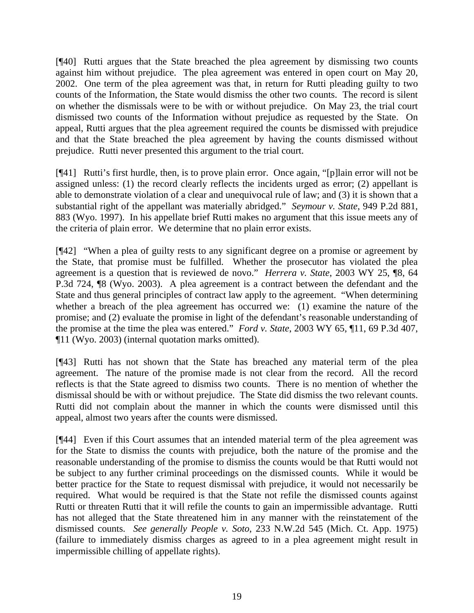[¶40] Rutti argues that the State breached the plea agreement by dismissing two counts against him without prejudice. The plea agreement was entered in open court on May 20, 2002. One term of the plea agreement was that, in return for Rutti pleading guilty to two counts of the Information, the State would dismiss the other two counts. The record is silent on whether the dismissals were to be with or without prejudice. On May 23, the trial court dismissed two counts of the Information without prejudice as requested by the State. On appeal, Rutti argues that the plea agreement required the counts be dismissed with prejudice and that the State breached the plea agreement by having the counts dismissed without prejudice. Rutti never presented this argument to the trial court.

[¶41] Rutti's first hurdle, then, is to prove plain error. Once again, "[p]lain error will not be assigned unless: (1) the record clearly reflects the incidents urged as error; (2) appellant is able to demonstrate violation of a clear and unequivocal rule of law; and (3) it is shown that a substantial right of the appellant was materially abridged." *Seymour v. State*, 949 P.2d 881, 883 (Wyo. 1997). In his appellate brief Rutti makes no argument that this issue meets any of the criteria of plain error. We determine that no plain error exists.

[¶42] "When a plea of guilty rests to any significant degree on a promise or agreement by the State, that promise must be fulfilled. Whether the prosecutor has violated the plea agreement is a question that is reviewed de novo." *Herrera v. State*, 2003 WY 25, ¶8, 64 P.3d 724, ¶8 (Wyo. 2003). A plea agreement is a contract between the defendant and the State and thus general principles of contract law apply to the agreement. "When determining whether a breach of the plea agreement has occurred we: (1) examine the nature of the promise; and (2) evaluate the promise in light of the defendant's reasonable understanding of the promise at the time the plea was entered." *Ford v. State*, 2003 WY 65, ¶11, 69 P.3d 407, ¶11 (Wyo. 2003) (internal quotation marks omitted).

[¶43] Rutti has not shown that the State has breached any material term of the plea agreement. The nature of the promise made is not clear from the record. All the record reflects is that the State agreed to dismiss two counts. There is no mention of whether the dismissal should be with or without prejudice. The State did dismiss the two relevant counts. Rutti did not complain about the manner in which the counts were dismissed until this appeal, almost two years after the counts were dismissed.

[¶44] Even if this Court assumes that an intended material term of the plea agreement was for the State to dismiss the counts with prejudice, both the nature of the promise and the reasonable understanding of the promise to dismiss the counts would be that Rutti would not be subject to any further criminal proceedings on the dismissed counts. While it would be better practice for the State to request dismissal with prejudice, it would not necessarily be required. What would be required is that the State not refile the dismissed counts against Rutti or threaten Rutti that it will refile the counts to gain an impermissible advantage. Rutti has not alleged that the State threatened him in any manner with the reinstatement of the dismissed counts. *See generally People v. Soto*, 233 N.W.2d 545 (Mich. Ct. App. 1975) (failure to immediately dismiss charges as agreed to in a plea agreement might result in impermissible chilling of appellate rights).